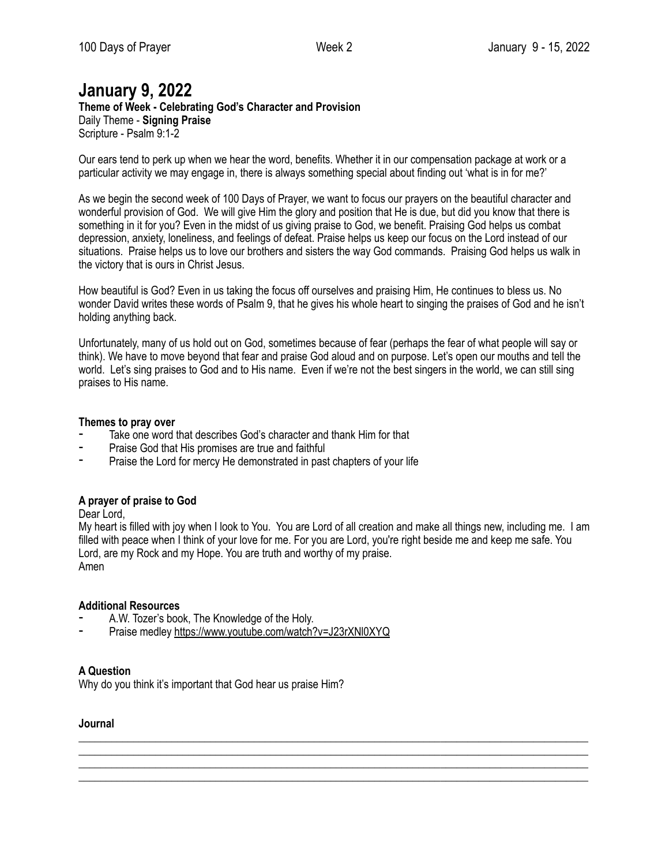## **January 9, 2022**

**Theme of Week - Celebrating God's Character and Provision**  Daily Theme - **Signing Praise** Scripture - Psalm 9:1-2

Our ears tend to perk up when we hear the word, benefits. Whether it in our compensation package at work or a particular activity we may engage in, there is always something special about finding out 'what is in for me?'

As we begin the second week of 100 Days of Prayer, we want to focus our prayers on the beautiful character and wonderful provision of God. We will give Him the glory and position that He is due, but did you know that there is something in it for you? Even in the midst of us giving praise to God, we benefit. Praising God helps us combat depression, anxiety, loneliness, and feelings of defeat. Praise helps us keep our focus on the Lord instead of our situations. Praise helps us to love our brothers and sisters the way God commands. Praising God helps us walk in the victory that is ours in Christ Jesus.

How beautiful is God? Even in us taking the focus off ourselves and praising Him, He continues to bless us. No wonder David writes these words of Psalm 9, that he gives his whole heart to singing the praises of God and he isn't holding anything back.

Unfortunately, many of us hold out on God, sometimes because of fear (perhaps the fear of what people will say or think). We have to move beyond that fear and praise God aloud and on purpose. Let's open our mouths and tell the world. Let's sing praises to God and to His name. Even if we're not the best singers in the world, we can still sing praises to His name.

#### **Themes to pray over**

- Take one word that describes God's character and thank Him for that
- ⁃ Praise God that His promises are true and faithful
- Praise the Lord for mercy He demonstrated in past chapters of your life

## **A prayer of praise to God**

Dear Lord,

My heart is filled with joy when I look to You. You are Lord of all creation and make all things new, including me. I am filled with peace when I think of your love for me. For you are Lord, you're right beside me and keep me safe. You Lord, are my Rock and my Hope. You are truth and worthy of my praise. Amen

\_\_\_\_\_\_\_\_\_\_\_\_\_\_\_\_\_\_\_\_\_\_\_\_\_\_\_\_\_\_\_\_\_\_\_\_\_\_\_\_\_\_\_\_\_\_\_\_\_\_\_\_\_\_\_\_\_\_\_\_\_\_\_\_\_\_\_\_\_\_\_\_\_\_\_\_\_\_\_\_\_\_\_\_\_\_\_\_\_\_\_\_\_ \_\_\_\_\_\_\_\_\_\_\_\_\_\_\_\_\_\_\_\_\_\_\_\_\_\_\_\_\_\_\_\_\_\_\_\_\_\_\_\_\_\_\_\_\_\_\_\_\_\_\_\_\_\_\_\_\_\_\_\_\_\_\_\_\_\_\_\_\_\_\_\_\_\_\_\_\_\_\_\_\_\_\_\_\_\_\_\_\_\_\_\_\_ \_\_\_\_\_\_\_\_\_\_\_\_\_\_\_\_\_\_\_\_\_\_\_\_\_\_\_\_\_\_\_\_\_\_\_\_\_\_\_\_\_\_\_\_\_\_\_\_\_\_\_\_\_\_\_\_\_\_\_\_\_\_\_\_\_\_\_\_\_\_\_\_\_\_\_\_\_\_\_\_\_\_\_\_\_\_\_\_\_\_\_\_\_ \_\_\_\_\_\_\_\_\_\_\_\_\_\_\_\_\_\_\_\_\_\_\_\_\_\_\_\_\_\_\_\_\_\_\_\_\_\_\_\_\_\_\_\_\_\_\_\_\_\_\_\_\_\_\_\_\_\_\_\_\_\_\_\_\_\_\_\_\_\_\_\_\_\_\_\_\_\_\_\_\_\_\_\_\_\_\_\_\_\_\_\_\_

#### **Additional Resources**

- A.W. Tozer's book, The Knowledge of the Holy.
- Praise medley <https://www.youtube.com/watch?v=J23rXNl0XYQ>

## **A Question**

Why do you think it's important that God hear us praise Him?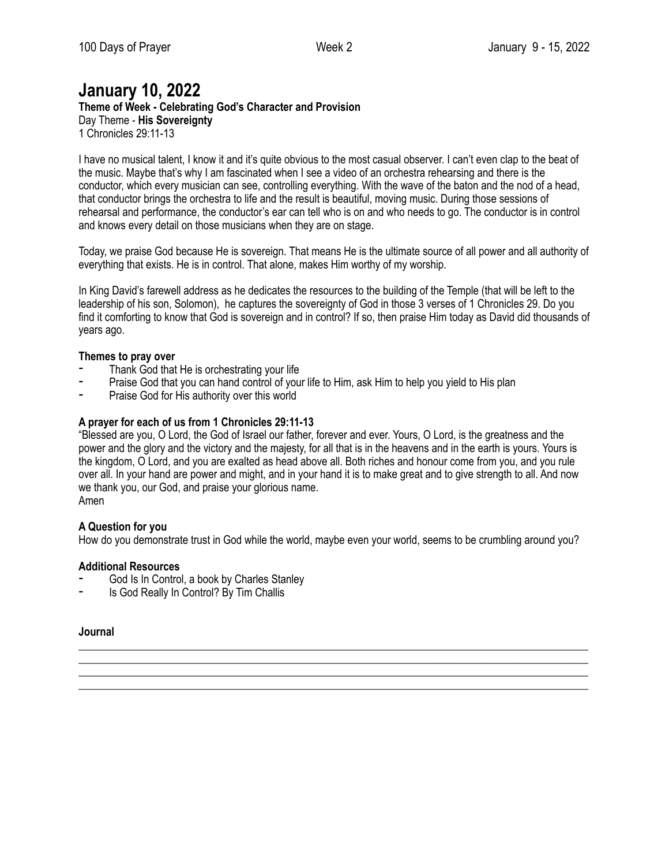# **January 10, 2022**

**Theme of Week - Celebrating God's Character and Provision** 

Day Theme - **His Sovereignty** 1 Chronicles 29:11-13

I have no musical talent, I know it and it's quite obvious to the most casual observer. I can't even clap to the beat of the music. Maybe that's why I am fascinated when I see a video of an orchestra rehearsing and there is the conductor, which every musician can see, controlling everything. With the wave of the baton and the nod of a head, that conductor brings the orchestra to life and the result is beautiful, moving music. During those sessions of rehearsal and performance, the conductor's ear can tell who is on and who needs to go. The conductor is in control and knows every detail on those musicians when they are on stage.

Today, we praise God because He is sovereign. That means He is the ultimate source of all power and all authority of everything that exists. He is in control. That alone, makes Him worthy of my worship.

In King David's farewell address as he dedicates the resources to the building of the Temple (that will be left to the leadership of his son, Solomon), he captures the sovereignty of God in those 3 verses of 1 Chronicles 29. Do you find it comforting to know that God is sovereign and in control? If so, then praise Him today as David did thousands of years ago.

## **Themes to pray over**

- Thank God that He is orchestrating your life
- Praise God that you can hand control of your life to Him, ask Him to help you yield to His plan
- ⁃ Praise God for His authority over this world

## **A prayer for each of us from 1 Chronicles 29:11-13**

"Blessed are you, O Lord, the God of Israel our father, forever and ever. Yours, O Lord, is the greatness and the power and the glory and the victory and the majesty, for all that is in the heavens and in the earth is yours. Yours is the kingdom, O Lord, and you are exalted as head above all. Both riches and honour come from you, and you rule over all. In your hand are power and might, and in your hand it is to make great and to give strength to all. And now we thank you, our God, and praise your glorious name. Amen

## **A Question for you**

How do you demonstrate trust in God while the world, maybe even your world, seems to be crumbling around you?

\_\_\_\_\_\_\_\_\_\_\_\_\_\_\_\_\_\_\_\_\_\_\_\_\_\_\_\_\_\_\_\_\_\_\_\_\_\_\_\_\_\_\_\_\_\_\_\_\_\_\_\_\_\_\_\_\_\_\_\_\_\_\_\_\_\_\_\_\_\_\_\_\_\_\_\_\_\_\_\_\_\_\_\_\_\_\_\_\_\_\_\_\_ \_\_\_\_\_\_\_\_\_\_\_\_\_\_\_\_\_\_\_\_\_\_\_\_\_\_\_\_\_\_\_\_\_\_\_\_\_\_\_\_\_\_\_\_\_\_\_\_\_\_\_\_\_\_\_\_\_\_\_\_\_\_\_\_\_\_\_\_\_\_\_\_\_\_\_\_\_\_\_\_\_\_\_\_\_\_\_\_\_\_\_\_\_ \_\_\_\_\_\_\_\_\_\_\_\_\_\_\_\_\_\_\_\_\_\_\_\_\_\_\_\_\_\_\_\_\_\_\_\_\_\_\_\_\_\_\_\_\_\_\_\_\_\_\_\_\_\_\_\_\_\_\_\_\_\_\_\_\_\_\_\_\_\_\_\_\_\_\_\_\_\_\_\_\_\_\_\_\_\_\_\_\_\_\_\_\_ \_\_\_\_\_\_\_\_\_\_\_\_\_\_\_\_\_\_\_\_\_\_\_\_\_\_\_\_\_\_\_\_\_\_\_\_\_\_\_\_\_\_\_\_\_\_\_\_\_\_\_\_\_\_\_\_\_\_\_\_\_\_\_\_\_\_\_\_\_\_\_\_\_\_\_\_\_\_\_\_\_\_\_\_\_\_\_\_\_\_\_\_\_

## **Additional Resources**

- God Is In Control, a book by Charles Stanley
- ⁃ Is God Really In Control? By Tim Challis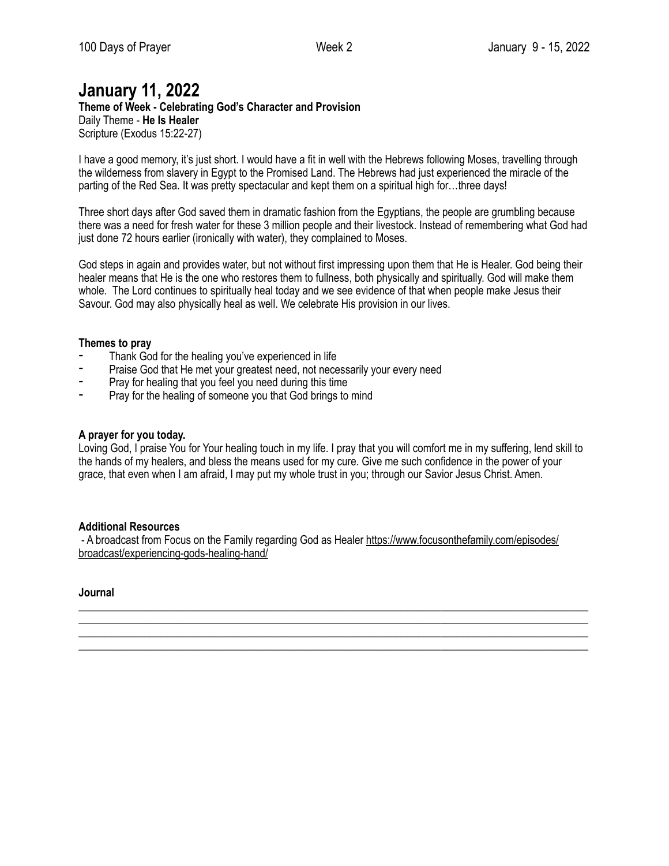# **January 11, 2022**

**Theme of Week - Celebrating God's Character and Provision**  Daily Theme - **He Is Healer** Scripture (Exodus 15:22-27)

I have a good memory, it's just short. I would have a fit in well with the Hebrews following Moses, travelling through the wilderness from slavery in Egypt to the Promised Land. The Hebrews had just experienced the miracle of the parting of the Red Sea. It was pretty spectacular and kept them on a spiritual high for...three days!

Three short days after God saved them in dramatic fashion from the Egyptians, the people are grumbling because there was a need for fresh water for these 3 million people and their livestock. Instead of remembering what God had just done 72 hours earlier (ironically with water), they complained to Moses.

God steps in again and provides water, but not without first impressing upon them that He is Healer. God being their healer means that He is the one who restores them to fullness, both physically and spiritually. God will make them whole. The Lord continues to spiritually heal today and we see evidence of that when people make Jesus their Savour. God may also physically heal as well. We celebrate His provision in our lives.

#### **Themes to pray**

- Thank God for the healing you've experienced in life
- Praise God that He met your greatest need, not necessarily your every need
- Pray for healing that you feel you need during this time
- ⁃ Pray for the healing of someone you that God brings to mind

#### **A prayer for you today.**

Loving God, I praise You for Your healing touch in my life. I pray that you will comfort me in my suffering, lend skill to the hands of my healers, and bless the means used for my cure. Give me such confidence in the power of your grace, that even when I am afraid, I may put my whole trust in you; through our Savior Jesus Christ. Amen.

#### **Additional Resources**

- A broadcast from Focus on the Family regarding God as Healer [https://www.focusonthefamily.com/episodes/](https://www.focusonthefamily.com/episodes/broadcast/experiencing-gods-healing-hand/) [broadcast/experiencing-gods-healing-hand/](https://www.focusonthefamily.com/episodes/broadcast/experiencing-gods-healing-hand/)

\_\_\_\_\_\_\_\_\_\_\_\_\_\_\_\_\_\_\_\_\_\_\_\_\_\_\_\_\_\_\_\_\_\_\_\_\_\_\_\_\_\_\_\_\_\_\_\_\_\_\_\_\_\_\_\_\_\_\_\_\_\_\_\_\_\_\_\_\_\_\_\_\_\_\_\_\_\_\_\_\_\_\_\_\_\_\_\_\_\_\_\_\_ \_\_\_\_\_\_\_\_\_\_\_\_\_\_\_\_\_\_\_\_\_\_\_\_\_\_\_\_\_\_\_\_\_\_\_\_\_\_\_\_\_\_\_\_\_\_\_\_\_\_\_\_\_\_\_\_\_\_\_\_\_\_\_\_\_\_\_\_\_\_\_\_\_\_\_\_\_\_\_\_\_\_\_\_\_\_\_\_\_\_\_\_\_ \_\_\_\_\_\_\_\_\_\_\_\_\_\_\_\_\_\_\_\_\_\_\_\_\_\_\_\_\_\_\_\_\_\_\_\_\_\_\_\_\_\_\_\_\_\_\_\_\_\_\_\_\_\_\_\_\_\_\_\_\_\_\_\_\_\_\_\_\_\_\_\_\_\_\_\_\_\_\_\_\_\_\_\_\_\_\_\_\_\_\_\_\_ \_\_\_\_\_\_\_\_\_\_\_\_\_\_\_\_\_\_\_\_\_\_\_\_\_\_\_\_\_\_\_\_\_\_\_\_\_\_\_\_\_\_\_\_\_\_\_\_\_\_\_\_\_\_\_\_\_\_\_\_\_\_\_\_\_\_\_\_\_\_\_\_\_\_\_\_\_\_\_\_\_\_\_\_\_\_\_\_\_\_\_\_\_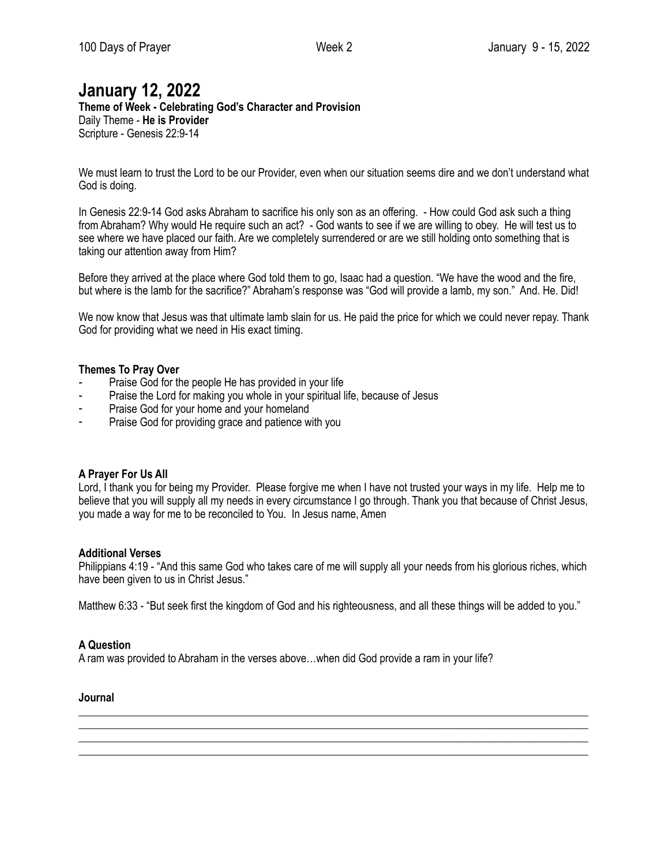## **January 12, 2022**

**Theme of Week - Celebrating God's Character and Provision**  Daily Theme - **He is Provider** Scripture - Genesis 22:9-14

We must learn to trust the Lord to be our Provider, even when our situation seems dire and we don't understand what God is doing.

In Genesis 22:9-14 God asks Abraham to sacrifice his only son as an offering. - How could God ask such a thing from Abraham? Why would He require such an act? - God wants to see if we are willing to obey. He will test us to see where we have placed our faith. Are we completely surrendered or are we still holding onto something that is taking our attention away from Him?

Before they arrived at the place where God told them to go, Isaac had a question. "We have the wood and the fire, but where is the lamb for the sacrifice?" Abraham's response was "God will provide a lamb, my son." And. He. Did!

We now know that Jesus was that ultimate lamb slain for us. He paid the price for which we could never repay. Thank God for providing what we need in His exact timing.

#### **Themes To Pray Over**

- Praise God for the people He has provided in your life
- Praise the Lord for making you whole in your spiritual life, because of Jesus
- Praise God for your home and your homeland
- Praise God for providing grace and patience with you

#### **A Prayer For Us All**

Lord, I thank you for being my Provider. Please forgive me when I have not trusted your ways in my life. Help me to believe that you will supply all my needs in every circumstance I go through. Thank you that because of Christ Jesus, you made a way for me to be reconciled to You. In Jesus name, Amen

#### **Additional Verses**

Philippians 4:19 - "And this same God who takes care of me will supply all your needs from his glorious riches, which have been given to us in Christ Jesus."

Matthew 6:33 - "But seek first the kingdom of God and his righteousness, and all these things will be added to you."

\_\_\_\_\_\_\_\_\_\_\_\_\_\_\_\_\_\_\_\_\_\_\_\_\_\_\_\_\_\_\_\_\_\_\_\_\_\_\_\_\_\_\_\_\_\_\_\_\_\_\_\_\_\_\_\_\_\_\_\_\_\_\_\_\_\_\_\_\_\_\_\_\_\_\_\_\_\_\_\_\_\_\_\_\_\_\_\_\_\_\_\_\_ \_\_\_\_\_\_\_\_\_\_\_\_\_\_\_\_\_\_\_\_\_\_\_\_\_\_\_\_\_\_\_\_\_\_\_\_\_\_\_\_\_\_\_\_\_\_\_\_\_\_\_\_\_\_\_\_\_\_\_\_\_\_\_\_\_\_\_\_\_\_\_\_\_\_\_\_\_\_\_\_\_\_\_\_\_\_\_\_\_\_\_\_\_

\_\_\_\_\_\_\_\_\_\_\_\_\_\_\_\_\_\_\_\_\_\_\_\_\_\_\_\_\_\_\_\_\_\_\_\_\_\_\_\_\_\_\_\_\_\_\_\_\_\_\_\_\_\_\_\_\_\_\_\_\_\_\_\_\_\_\_\_\_\_\_\_\_\_\_\_\_\_\_\_\_\_\_\_\_\_\_\_\_\_\_\_\_

#### **A Question**

A ram was provided to Abraham in the verses above…when did God provide a ram in your life?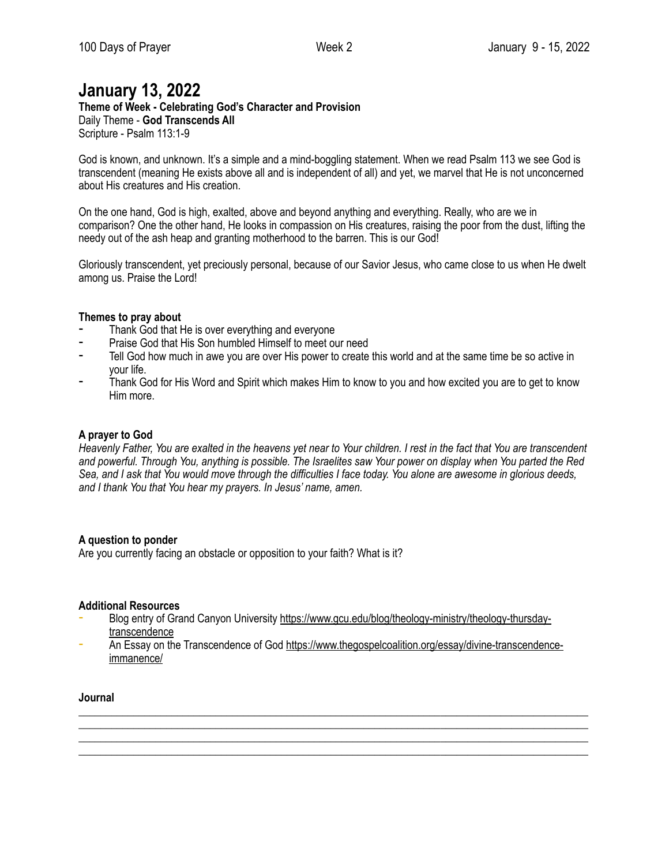# **January 13, 2022**

**Theme of Week - Celebrating God's Character and Provision**  Daily Theme - **God Transcends All**

Scripture - Psalm 113:1-9

God is known, and unknown. It's a simple and a mind-boggling statement. When we read Psalm 113 we see God is transcendent (meaning He exists above all and is independent of all) and yet, we marvel that He is not unconcerned about His creatures and His creation.

On the one hand, God is high, exalted, above and beyond anything and everything. Really, who are we in comparison? One the other hand, He looks in compassion on His creatures, raising the poor from the dust, lifting the needy out of the ash heap and granting motherhood to the barren. This is our God!

Gloriously transcendent, yet preciously personal, because of our Savior Jesus, who came close to us when He dwelt among us. Praise the Lord!

#### **Themes to pray about**

- Thank God that He is over everything and everyone
- ⁃ Praise God that His Son humbled Himself to meet our need
- Tell God how much in awe you are over His power to create this world and at the same time be so active in your life.
- Thank God for His Word and Spirit which makes Him to know to you and how excited you are to get to know Him more.

#### **A prayer to God**

*Heavenly Father, You are exalted in the heavens yet near to Your children. I rest in the fact that You are transcendent and powerful. Through You, anything is possible. The Israelites saw Your power on display when You parted the Red Sea, and I ask that You would move through the difficulties I face today. You alone are awesome in glorious deeds, and I thank You that You hear my prayers. In Jesus' name, amen.*

#### **A question to ponder**

Are you currently facing an obstacle or opposition to your faith? What is it?

#### **Additional Resources**

- Blog entry of Grand Canyon University [https://www.gcu.edu/blog/theology-ministry/theology-thursday](https://www.gcu.edu/blog/theology-ministry/theology-thursday-transcendence)[transcendence](https://www.gcu.edu/blog/theology-ministry/theology-thursday-transcendence)
- An Essay on the Transcendence of God [https://www.thegospelcoalition.org/essay/divine-transcendence](https://www.thegospelcoalition.org/essay/divine-transcendence-immanence/)[immanence/](https://www.thegospelcoalition.org/essay/divine-transcendence-immanence/)

\_\_\_\_\_\_\_\_\_\_\_\_\_\_\_\_\_\_\_\_\_\_\_\_\_\_\_\_\_\_\_\_\_\_\_\_\_\_\_\_\_\_\_\_\_\_\_\_\_\_\_\_\_\_\_\_\_\_\_\_\_\_\_\_\_\_\_\_\_\_\_\_\_\_\_\_\_\_\_\_\_\_\_\_\_\_\_\_\_\_\_\_\_ \_\_\_\_\_\_\_\_\_\_\_\_\_\_\_\_\_\_\_\_\_\_\_\_\_\_\_\_\_\_\_\_\_\_\_\_\_\_\_\_\_\_\_\_\_\_\_\_\_\_\_\_\_\_\_\_\_\_\_\_\_\_\_\_\_\_\_\_\_\_\_\_\_\_\_\_\_\_\_\_\_\_\_\_\_\_\_\_\_\_\_\_\_ \_\_\_\_\_\_\_\_\_\_\_\_\_\_\_\_\_\_\_\_\_\_\_\_\_\_\_\_\_\_\_\_\_\_\_\_\_\_\_\_\_\_\_\_\_\_\_\_\_\_\_\_\_\_\_\_\_\_\_\_\_\_\_\_\_\_\_\_\_\_\_\_\_\_\_\_\_\_\_\_\_\_\_\_\_\_\_\_\_\_\_\_\_ \_\_\_\_\_\_\_\_\_\_\_\_\_\_\_\_\_\_\_\_\_\_\_\_\_\_\_\_\_\_\_\_\_\_\_\_\_\_\_\_\_\_\_\_\_\_\_\_\_\_\_\_\_\_\_\_\_\_\_\_\_\_\_\_\_\_\_\_\_\_\_\_\_\_\_\_\_\_\_\_\_\_\_\_\_\_\_\_\_\_\_\_\_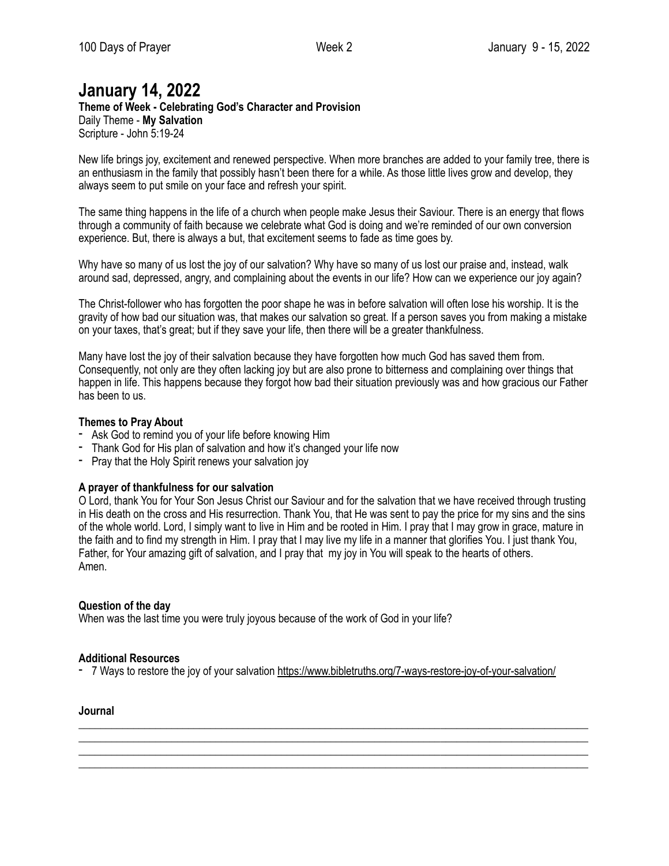# **January 14, 2022**

**Theme of Week - Celebrating God's Character and Provision**  Daily Theme - **My Salvation** Scripture - John 5:19-24

New life brings joy, excitement and renewed perspective. When more branches are added to your family tree, there is an enthusiasm in the family that possibly hasn't been there for a while. As those little lives grow and develop, they always seem to put smile on your face and refresh your spirit.

The same thing happens in the life of a church when people make Jesus their Saviour. There is an energy that flows through a community of faith because we celebrate what God is doing and we're reminded of our own conversion experience. But, there is always a but, that excitement seems to fade as time goes by.

Why have so many of us lost the joy of our salvation? Why have so many of us lost our praise and, instead, walk around sad, depressed, angry, and complaining about the events in our life? How can we experience our joy again?

The Christ-follower who has forgotten the poor shape he was in before salvation will often lose his worship. It is the gravity of how bad our situation was, that makes our salvation so great. If a person saves you from making a mistake on your taxes, that's great; but if they save your life, then there will be a greater thankfulness.

Many have lost the joy of their salvation because they have forgotten how much God has saved them from. Consequently, not only are they often lacking joy but are also prone to bitterness and complaining over things that happen in life. This happens because they forgot how bad their situation previously was and how gracious our Father has been to us.

## **Themes to Pray About**

- Ask God to remind you of your life before knowing Him
- Thank God for His plan of salvation and how it's changed your life now
- Pray that the Holy Spirit renews your salvation joy

#### **A prayer of thankfulness for our salvation**

O Lord, thank You for Your Son Jesus Christ our Saviour and for the salvation that we have received through trusting in His death on the cross and His resurrection. Thank You, that He was sent to pay the price for my sins and the sins of the whole world. Lord, I simply want to live in Him and be rooted in Him. I pray that I may grow in grace, mature in the faith and to find my strength in Him. I pray that I may live my life in a manner that glorifies You. I just thank You, Father, for Your amazing gift of salvation, and I pray that my joy in You will speak to the hearts of others. Amen.

#### **Question of the day**

When was the last time you were truly joyous because of the work of God in your life?

## **Additional Resources**

- 7 Ways to restore the joy of your salvation<https://www.bibletruths.org/7-ways-restore-joy-of-your-salvation/>

\_\_\_\_\_\_\_\_\_\_\_\_\_\_\_\_\_\_\_\_\_\_\_\_\_\_\_\_\_\_\_\_\_\_\_\_\_\_\_\_\_\_\_\_\_\_\_\_\_\_\_\_\_\_\_\_\_\_\_\_\_\_\_\_\_\_\_\_\_\_\_\_\_\_\_\_\_\_\_\_\_\_\_\_\_\_\_\_\_\_\_\_\_ \_\_\_\_\_\_\_\_\_\_\_\_\_\_\_\_\_\_\_\_\_\_\_\_\_\_\_\_\_\_\_\_\_\_\_\_\_\_\_\_\_\_\_\_\_\_\_\_\_\_\_\_\_\_\_\_\_\_\_\_\_\_\_\_\_\_\_\_\_\_\_\_\_\_\_\_\_\_\_\_\_\_\_\_\_\_\_\_\_\_\_\_\_ \_\_\_\_\_\_\_\_\_\_\_\_\_\_\_\_\_\_\_\_\_\_\_\_\_\_\_\_\_\_\_\_\_\_\_\_\_\_\_\_\_\_\_\_\_\_\_\_\_\_\_\_\_\_\_\_\_\_\_\_\_\_\_\_\_\_\_\_\_\_\_\_\_\_\_\_\_\_\_\_\_\_\_\_\_\_\_\_\_\_\_\_\_ \_\_\_\_\_\_\_\_\_\_\_\_\_\_\_\_\_\_\_\_\_\_\_\_\_\_\_\_\_\_\_\_\_\_\_\_\_\_\_\_\_\_\_\_\_\_\_\_\_\_\_\_\_\_\_\_\_\_\_\_\_\_\_\_\_\_\_\_\_\_\_\_\_\_\_\_\_\_\_\_\_\_\_\_\_\_\_\_\_\_\_\_\_